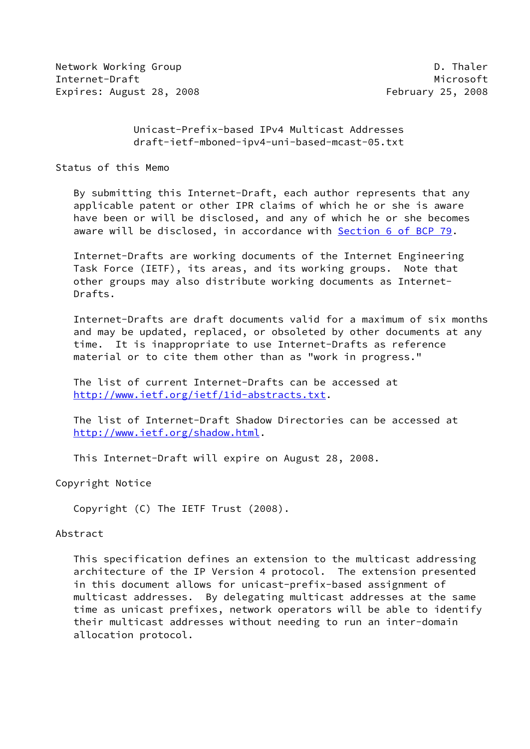Network Working Group **D. Thaler** Internet-Draft Microsoft Microsoft Microsoft Microsoft Microsoft Microsoft Microsoft Microsoft Microsoft Microsoft Microsoft Microsoft Microsoft Microsoft Microsoft Microsoft Microsoft Microsoft Microsoft Microsoft Microso Expires: August 28, 2008 **February 25, 2008** 

 Unicast-Prefix-based IPv4 Multicast Addresses draft-ietf-mboned-ipv4-uni-based-mcast-05.txt

Status of this Memo

 By submitting this Internet-Draft, each author represents that any applicable patent or other IPR claims of which he or she is aware have been or will be disclosed, and any of which he or she becomes aware will be disclosed, in accordance with Section [6 of BCP 79.](https://datatracker.ietf.org/doc/pdf/bcp79#section-6)

 Internet-Drafts are working documents of the Internet Engineering Task Force (IETF), its areas, and its working groups. Note that other groups may also distribute working documents as Internet- Drafts.

 Internet-Drafts are draft documents valid for a maximum of six months and may be updated, replaced, or obsoleted by other documents at any time. It is inappropriate to use Internet-Drafts as reference material or to cite them other than as "work in progress."

 The list of current Internet-Drafts can be accessed at <http://www.ietf.org/ietf/1id-abstracts.txt>.

 The list of Internet-Draft Shadow Directories can be accessed at <http://www.ietf.org/shadow.html>.

This Internet-Draft will expire on August 28, 2008.

Copyright Notice

Copyright (C) The IETF Trust (2008).

## Abstract

 This specification defines an extension to the multicast addressing architecture of the IP Version 4 protocol. The extension presented in this document allows for unicast-prefix-based assignment of multicast addresses. By delegating multicast addresses at the same time as unicast prefixes, network operators will be able to identify their multicast addresses without needing to run an inter-domain allocation protocol.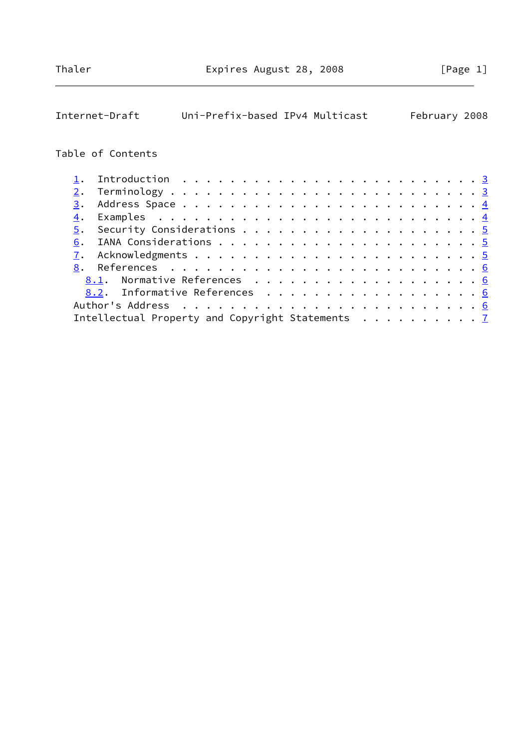| Internet-Draft                                   | Uni-Prefix-based IPv4 Multicast |  |  |  |  |  |  |  |  |  | February 2008 |
|--------------------------------------------------|---------------------------------|--|--|--|--|--|--|--|--|--|---------------|
|                                                  |                                 |  |  |  |  |  |  |  |  |  |               |
| Table of Contents                                |                                 |  |  |  |  |  |  |  |  |  |               |
| $\mathbf 1$ .                                    |                                 |  |  |  |  |  |  |  |  |  |               |
| 2.                                               |                                 |  |  |  |  |  |  |  |  |  |               |
| 3.                                               |                                 |  |  |  |  |  |  |  |  |  |               |
| $\overline{4}$ .                                 |                                 |  |  |  |  |  |  |  |  |  |               |
| $\overline{5}$ .                                 |                                 |  |  |  |  |  |  |  |  |  |               |
| 6.                                               |                                 |  |  |  |  |  |  |  |  |  |               |
| 7.                                               |                                 |  |  |  |  |  |  |  |  |  |               |
| 8.                                               |                                 |  |  |  |  |  |  |  |  |  |               |
| Normative References 6<br>8.1.                   |                                 |  |  |  |  |  |  |  |  |  |               |
| Informative References 6<br>8.2.                 |                                 |  |  |  |  |  |  |  |  |  |               |
|                                                  |                                 |  |  |  |  |  |  |  |  |  |               |
| Intellectual Property and Copyright Statements 7 |                                 |  |  |  |  |  |  |  |  |  |               |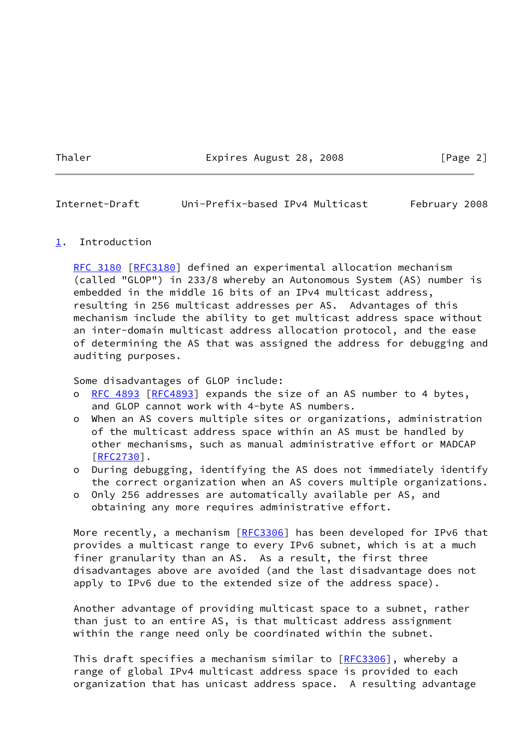Thaler **Expires August 28, 2008** [Page 2]

<span id="page-2-1"></span>Internet-Draft Uni-Prefix-based IPv4 Multicast February 2008

#### <span id="page-2-0"></span>[1](#page-2-0). Introduction

[RFC 3180](https://datatracker.ietf.org/doc/pdf/rfc3180) [\[RFC3180](https://datatracker.ietf.org/doc/pdf/rfc3180)] defined an experimental allocation mechanism (called "GLOP") in 233/8 whereby an Autonomous System (AS) number is embedded in the middle 16 bits of an IPv4 multicast address, resulting in 256 multicast addresses per AS. Advantages of this mechanism include the ability to get multicast address space without an inter-domain multicast address allocation protocol, and the ease of determining the AS that was assigned the address for debugging and auditing purposes.

Some disadvantages of GLOP include:

- o [RFC 4893 \[RFC4893](https://datatracker.ietf.org/doc/pdf/rfc4893)] expands the size of an AS number to 4 bytes, and GLOP cannot work with 4-byte AS numbers.
- o When an AS covers multiple sites or organizations, administration of the multicast address space within an AS must be handled by other mechanisms, such as manual administrative effort or MADCAP [[RFC2730\]](https://datatracker.ietf.org/doc/pdf/rfc2730).
- o During debugging, identifying the AS does not immediately identify the correct organization when an AS covers multiple organizations.
- o Only 256 addresses are automatically available per AS, and obtaining any more requires administrative effort.

More recently, a mechanism [[RFC3306\]](https://datatracker.ietf.org/doc/pdf/rfc3306) has been developed for IPv6 that provides a multicast range to every IPv6 subnet, which is at a much finer granularity than an AS. As a result, the first three disadvantages above are avoided (and the last disadvantage does not apply to IPv6 due to the extended size of the address space).

 Another advantage of providing multicast space to a subnet, rather than just to an entire AS, is that multicast address assignment within the range need only be coordinated within the subnet.

This draft specifies a mechanism similar to [\[RFC3306](https://datatracker.ietf.org/doc/pdf/rfc3306)], whereby a range of global IPv4 multicast address space is provided to each organization that has unicast address space. A resulting advantage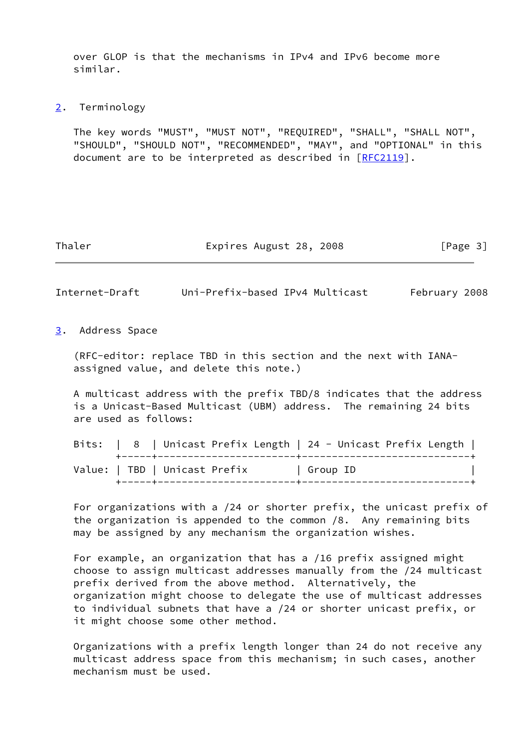over GLOP is that the mechanisms in IPv4 and IPv6 become more similar.

<span id="page-3-0"></span>[2](#page-3-0). Terminology

 The key words "MUST", "MUST NOT", "REQUIRED", "SHALL", "SHALL NOT", "SHOULD", "SHOULD NOT", "RECOMMENDED", "MAY", and "OPTIONAL" in this document are to be interpreted as described in [\[RFC2119](https://datatracker.ietf.org/doc/pdf/rfc2119)].

Thaler **Expires August 28, 2008** [Page 3]

<span id="page-3-2"></span>Internet-Draft Uni-Prefix-based IPv4 Multicast February 2008

<span id="page-3-1"></span>[3](#page-3-1). Address Space

 (RFC-editor: replace TBD in this section and the next with IANA assigned value, and delete this note.)

 A multicast address with the prefix TBD/8 indicates that the address is a Unicast-Based Multicast (UBM) address. The remaining 24 bits are used as follows:

|  |                               | Bits:   8   Unicast Prefix Length   24 - Unicast Prefix Length |          |  |  |
|--|-------------------------------|----------------------------------------------------------------|----------|--|--|
|  | Value:   TBD   Unicast Prefix |                                                                | Group ID |  |  |

 For organizations with a /24 or shorter prefix, the unicast prefix of the organization is appended to the common /8. Any remaining bits may be assigned by any mechanism the organization wishes.

 For example, an organization that has a /16 prefix assigned might choose to assign multicast addresses manually from the /24 multicast prefix derived from the above method. Alternatively, the organization might choose to delegate the use of multicast addresses to individual subnets that have a /24 or shorter unicast prefix, or it might choose some other method.

 Organizations with a prefix length longer than 24 do not receive any multicast address space from this mechanism; in such cases, another mechanism must be used.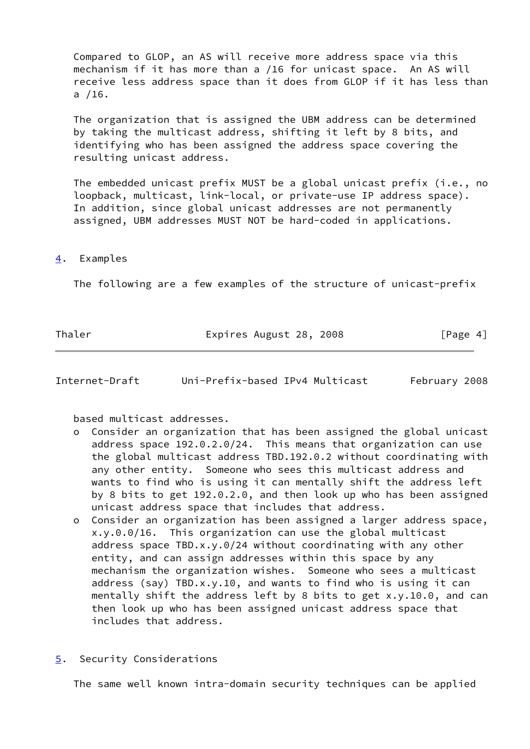Compared to GLOP, an AS will receive more address space via this mechanism if it has more than a /16 for unicast space. An AS will receive less address space than it does from GLOP if it has less than a /16.

 The organization that is assigned the UBM address can be determined by taking the multicast address, shifting it left by 8 bits, and identifying who has been assigned the address space covering the resulting unicast address.

 The embedded unicast prefix MUST be a global unicast prefix (i.e., no loopback, multicast, link-local, or private-use IP address space). In addition, since global unicast addresses are not permanently assigned, UBM addresses MUST NOT be hard-coded in applications.

#### <span id="page-4-0"></span>[4](#page-4-0). Examples

The following are a few examples of the structure of unicast-prefix

Thaler **Expires August 28, 2008** [Page 4]

<span id="page-4-2"></span>Internet-Draft Uni-Prefix-based IPv4 Multicast February 2008

based multicast addresses.

- o Consider an organization that has been assigned the global unicast address space 192.0.2.0/24. This means that organization can use the global multicast address TBD.192.0.2 without coordinating with any other entity. Someone who sees this multicast address and wants to find who is using it can mentally shift the address left by 8 bits to get 192.0.2.0, and then look up who has been assigned unicast address space that includes that address.
- o Consider an organization has been assigned a larger address space, x.y.0.0/16. This organization can use the global multicast address space TBD.x.y.0/24 without coordinating with any other entity, and can assign addresses within this space by any mechanism the organization wishes. Someone who sees a multicast address (say) TBD.x.y.10, and wants to find who is using it can mentally shift the address left by 8 bits to get x.y.10.0, and can then look up who has been assigned unicast address space that includes that address.
- <span id="page-4-1"></span>[5](#page-4-1). Security Considerations

The same well known intra-domain security techniques can be applied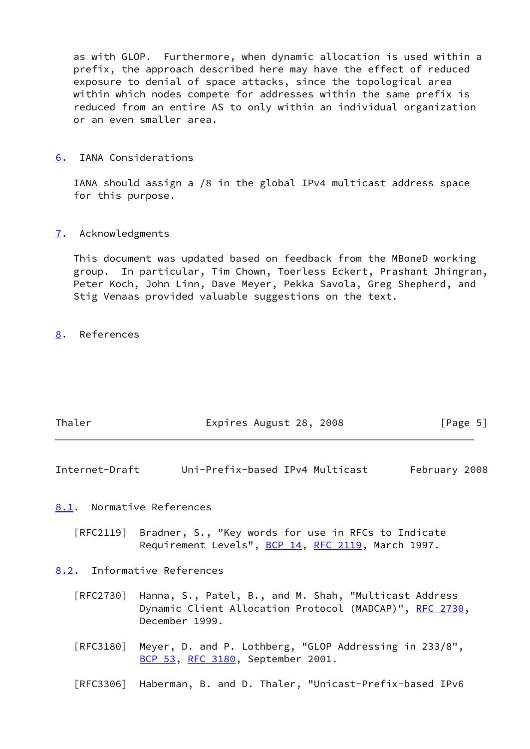as with GLOP. Furthermore, when dynamic allocation is used within a prefix, the approach described here may have the effect of reduced exposure to denial of space attacks, since the topological area within which nodes compete for addresses within the same prefix is reduced from an entire AS to only within an individual organization or an even smaller area.

<span id="page-5-0"></span>[6](#page-5-0). IANA Considerations

 IANA should assign a /8 in the global IPv4 multicast address space for this purpose.

<span id="page-5-1"></span>[7](#page-5-1). Acknowledgments

 This document was updated based on feedback from the MBoneD working group. In particular, Tim Chown, Toerless Eckert, Prashant Jhingran, Peter Koch, John Linn, Dave Meyer, Pekka Savola, Greg Shepherd, and Stig Venaas provided valuable suggestions on the text.

<span id="page-5-2"></span>[8](#page-5-2). References

| Thaler | Expires August 28, 2008 | [Page 5] |
|--------|-------------------------|----------|
|        |                         |          |

<span id="page-5-3"></span>Internet-Draft Uni-Prefix-based IPv4 Multicast February 2008

<span id="page-5-4"></span>[8.1](#page-5-4). Normative References

 [RFC2119] Bradner, S., "Key words for use in RFCs to Indicate Requirement Levels", [BCP 14](https://datatracker.ietf.org/doc/pdf/bcp14), [RFC 2119](https://datatracker.ietf.org/doc/pdf/rfc2119), March 1997.

<span id="page-5-5"></span>[8.2](#page-5-5). Informative References

- [RFC2730] Hanna, S., Patel, B., and M. Shah, "Multicast Address Dynamic Client Allocation Protocol (MADCAP)", [RFC 2730](https://datatracker.ietf.org/doc/pdf/rfc2730), December 1999.
- [RFC3180] Meyer, D. and P. Lothberg, "GLOP Addressing in 233/8", [BCP 53](https://datatracker.ietf.org/doc/pdf/bcp53), [RFC 3180,](https://datatracker.ietf.org/doc/pdf/rfc3180) September 2001.

[RFC3306] Haberman, B. and D. Thaler, "Unicast-Prefix-based IPv6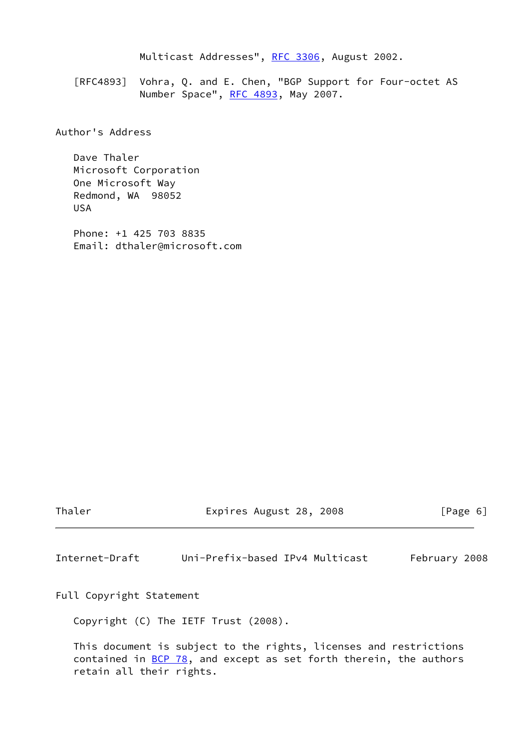Multicast Addresses", [RFC 3306](https://datatracker.ietf.org/doc/pdf/rfc3306), August 2002.

 [RFC4893] Vohra, Q. and E. Chen, "BGP Support for Four-octet AS Number Space", [RFC 4893](https://datatracker.ietf.org/doc/pdf/rfc4893), May 2007.

Author's Address

 Dave Thaler Microsoft Corporation One Microsoft Way Redmond, WA 98052 USA

 Phone: +1 425 703 8835 Email: dthaler@microsoft.com

Thaler **Expires August 28, 2008** [Page 6]

<span id="page-6-0"></span>Internet-Draft Uni-Prefix-based IPv4 Multicast February 2008

Full Copyright Statement

Copyright (C) The IETF Trust (2008).

 This document is subject to the rights, licenses and restrictions contained in [BCP 78](https://datatracker.ietf.org/doc/pdf/bcp78), and except as set forth therein, the authors retain all their rights.